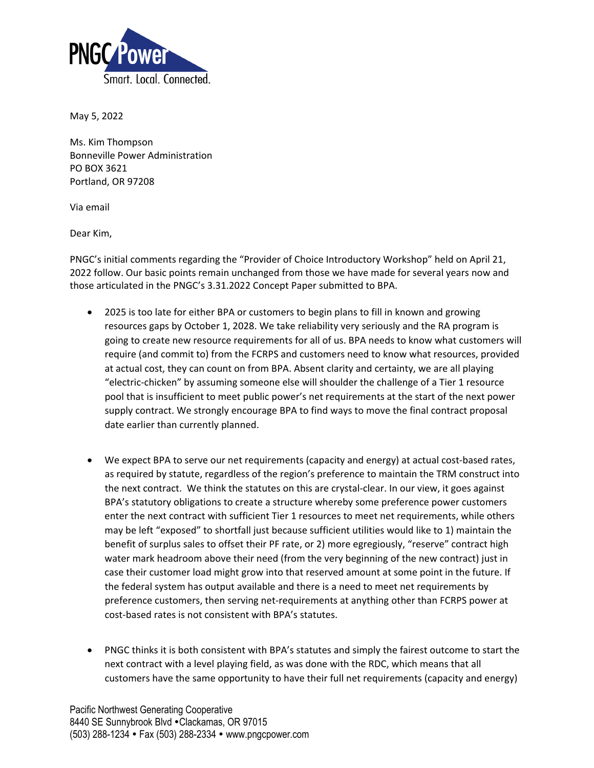

May 5, 2022

Ms. Kim Thompson Bonneville Power Administration PO BOX 3621 Portland, OR 97208

Via email

Dear Kim,

PNGC's initial comments regarding the "Provider of Choice Introductory Workshop" held on April 21, 2022 follow. Our basic points remain unchanged from those we have made for several years now and those articulated in the PNGC's 3.31.2022 Concept Paper submitted to BPA.

- 2025 is too late for either BPA or customers to begin plans to fill in known and growing resources gaps by October 1, 2028. We take reliability very seriously and the RA program is going to create new resource requirements for all of us. BPA needs to know what customers will require (and commit to) from the FCRPS and customers need to know what resources, provided at actual cost, they can count on from BPA. Absent clarity and certainty, we are all playing "electric-chicken" by assuming someone else will shoulder the challenge of a Tier 1 resource pool that is insufficient to meet public power's net requirements at the start of the next power supply contract. We strongly encourage BPA to find ways to move the final contract proposal date earlier than currently planned.
- We expect BPA to serve our net requirements (capacity and energy) at actual cost-based rates, as required by statute, regardless of the region's preference to maintain the TRM construct into the next contract. We think the statutes on this are crystal-clear. In our view, it goes against BPA's statutory obligations to create a structure whereby some preference power customers enter the next contract with sufficient Tier 1 resources to meet net requirements, while others may be left "exposed" to shortfall just because sufficient utilities would like to 1) maintain the benefit of surplus sales to offset their PF rate, or 2) more egregiously, "reserve" contract high water mark headroom above their need (from the very beginning of the new contract) just in case their customer load might grow into that reserved amount at some point in the future. If the federal system has output available and there is a need to meet net requirements by preference customers, then serving net-requirements at anything other than FCRPS power at cost-based rates is not consistent with BPA's statutes.
- PNGC thinks it is both consistent with BPA's statutes and simply the fairest outcome to start the next contract with a level playing field, as was done with the RDC, which means that all customers have the same opportunity to have their full net requirements (capacity and energy)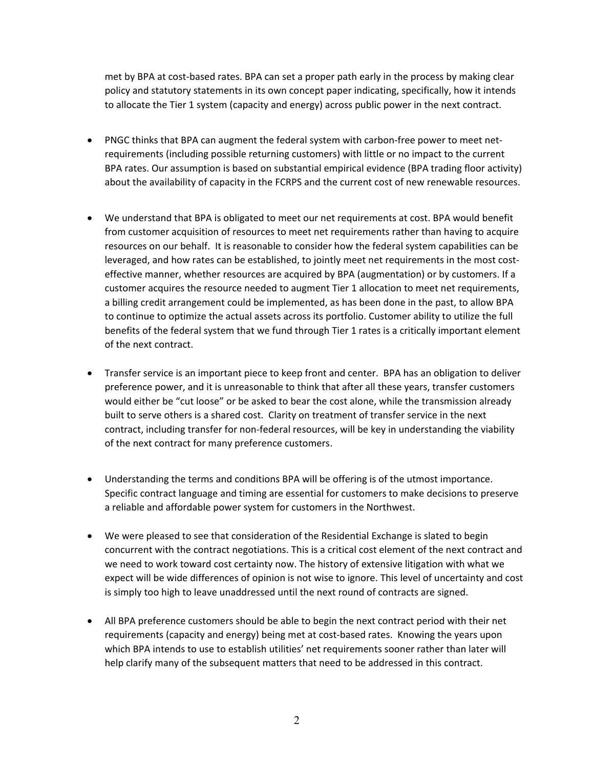met by BPA at cost-based rates. BPA can set a proper path early in the process by making clear policy and statutory statements in its own concept paper indicating, specifically, how it intends to allocate the Tier 1 system (capacity and energy) across public power in the next contract.

- PNGC thinks that BPA can augment the federal system with carbon-free power to meet netrequirements (including possible returning customers) with little or no impact to the current BPA rates. Our assumption is based on substantial empirical evidence (BPA trading floor activity) about the availability of capacity in the FCRPS and the current cost of new renewable resources.
- We understand that BPA is obligated to meet our net requirements at cost. BPA would benefit from customer acquisition of resources to meet net requirements rather than having to acquire resources on our behalf. It is reasonable to consider how the federal system capabilities can be leveraged, and how rates can be established, to jointly meet net requirements in the most costeffective manner, whether resources are acquired by BPA (augmentation) or by customers. If a customer acquires the resource needed to augment Tier 1 allocation to meet net requirements, a billing credit arrangement could be implemented, as has been done in the past, to allow BPA to continue to optimize the actual assets across its portfolio. Customer ability to utilize the full benefits of the federal system that we fund through Tier 1 rates is a critically important element of the next contract.
- Transfer service is an important piece to keep front and center. BPA has an obligation to deliver preference power, and it is unreasonable to think that after all these years, transfer customers would either be "cut loose" or be asked to bear the cost alone, while the transmission already built to serve others is a shared cost. Clarity on treatment of transfer service in the next contract, including transfer for non-federal resources, will be key in understanding the viability of the next contract for many preference customers.
- Understanding the terms and conditions BPA will be offering is of the utmost importance. Specific contract language and timing are essential for customers to make decisions to preserve a reliable and affordable power system for customers in the Northwest.
- We were pleased to see that consideration of the Residential Exchange is slated to begin concurrent with the contract negotiations. This is a critical cost element of the next contract and we need to work toward cost certainty now. The history of extensive litigation with what we expect will be wide differences of opinion is not wise to ignore. This level of uncertainty and cost is simply too high to leave unaddressed until the next round of contracts are signed.
- All BPA preference customers should be able to begin the next contract period with their net requirements (capacity and energy) being met at cost-based rates. Knowing the years upon which BPA intends to use to establish utilities' net requirements sooner rather than later will help clarify many of the subsequent matters that need to be addressed in this contract.